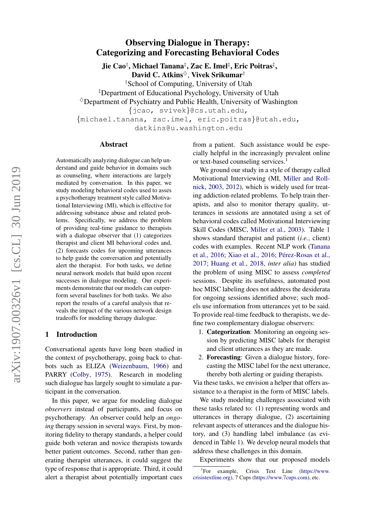# Observing Dialogue in Therapy: Categorizing and Forecasting Behavioral Codes

Jie Cao†, Michael Tanana‡, Zac E. Imel‡, Eric Poitras‡, David C. Atkins $\diamond$ , Vivek Srikumar<sup>†</sup>

†School of Computing, University of Utah

‡Department of Educational Psychology, University of Utah

 $\Diamond$ Department of Psychiatry and Public Health, University of Washington

{jcao, svivek}@cs.utah.edu,

{michael.tanana, zac.imel, eric.poitras}@utah.edu, datkins@u.washington.edu

#### Abstract

Automatically analyzing dialogue can help understand and guide behavior in domains such as counseling, where interactions are largely mediated by conversation. In this paper, we study modeling behavioral codes used to asses a psychotherapy treatment style called Motivational Interviewing (MI), which is effective for addressing substance abuse and related problems. Specifically, we address the problem of providing real-time guidance to therapists with a dialogue observer that (1) categorizes therapist and client MI behavioral codes and, (2) forecasts codes for upcoming utterances to help guide the conversation and potentially alert the therapist. For both tasks, we define neural network models that build upon recent successes in dialogue modeling. Our experiments demonstrate that our models can outperform several baselines for both tasks. We also report the results of a careful analysis that reveals the impact of the various network design tradeoffs for modeling therapy dialogue.

### 1 Introduction

Conversational agents have long been studied in the context of psychotherapy, going back to chatbots such as ELIZA [\(Weizenbaum,](#page-10-0) [1966\)](#page-10-0) and PARRY [\(Colby,](#page-9-0) [1975\)](#page-9-0). Research in modeling such dialogue has largely sought to simulate a participant in the conversation.

In this paper, we argue for modeling dialogue *observers* instead of participants, and focus on psychotherapy. An observer could help an *ongoing* therapy session in several ways. First, by monitoring fidelity to therapy standards, a helper could guide both veteran and novice therapists towards better patient outcomes. Second, rather than generating therapist utterances, it could suggest the type of response that is appropriate. Third, it could alert a therapist about potentially important cues from a patient. Such assistance would be especially helpful in the increasingly prevalent online or text-based counseling services.<sup>[1](#page-0-0)</sup>

We ground our study in a style of therapy called Motivational Interviewing (MI, [Miller and Roll](#page-9-1)[nick,](#page-9-1) [2003,](#page-9-1) [2012\)](#page-9-2), which is widely used for treating addiction-related problems. To help train therapists, and also to monitor therapy quality, utterances in sessions are annotated using a set of behavioral codes called Motivational Interviewing Skill Codes (MISC, [Miller et al.,](#page-9-3) [2003\)](#page-9-3). Table [1](#page-1-0) shows standard therapist and patient (*i.e.*, client) codes with examples. Recent NLP work [\(Tanana](#page-10-1) [et al.,](#page-10-1) [2016;](#page-10-2) [Xiao et al.,](#page-10-2) 2016; Pérez-Rosas et al., [2017;](#page-10-3) [Huang et al.,](#page-9-4) [2018,](#page-9-4) *inter alia)* has studied the problem of using MISC to assess *completed* sessions. Despite its usefulness, automated post hoc MISC labeling does not address the desiderata for ongoing sessions identified above; such models use information from utterances yet to be said. To provide real-time feedback to therapists, we define two complementary dialogue observers:

- 1. Categorization: Monitoring an ongoing session by predicting MISC labels for therapist and client utterances as they are made.
- 2. Forecasting: Given a dialogue history, forecasting the MISC label for the next utterance, thereby both alerting or guiding therapists.

Via these tasks, we envision a helper that offers assistance to a therapist in the form of MISC labels.

We study modeling challenges associated with these tasks related to: (1) representing words and utterances in therapy dialogue, (2) ascertaining relevant aspects of utterances and the dialogue history, and (3) handling label imbalance (as evidenced in Table [1\)](#page-1-0). We develop neural models that address these challenges in this domain.

Experiments show that our proposed models

<span id="page-0-0"></span> ${}^{1}$ For example, Crisis Text Line [\(https://www.](https://www.crisistextline.org) [crisistextline.org\)](https://www.crisistextline.org), 7 Cups [\(https://www.7cups.com\)](https://www.7cups.com), etc.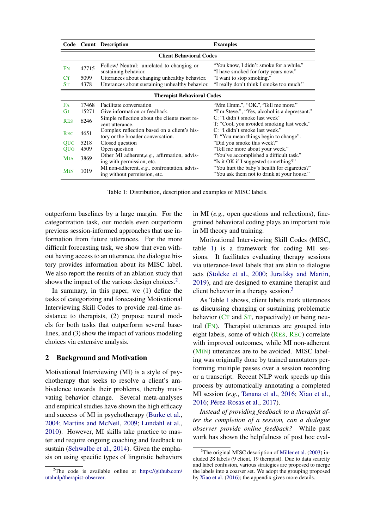<span id="page-1-0"></span>

|                                   |                                | Code Count Description                                                           | <b>Examples</b>                                                                            |  |  |  |  |  |  |
|-----------------------------------|--------------------------------|----------------------------------------------------------------------------------|--------------------------------------------------------------------------------------------|--|--|--|--|--|--|
|                                   | <b>Client Behavioral Codes</b> |                                                                                  |                                                                                            |  |  |  |  |  |  |
| FN                                | 47715                          | Follow/ Neutral: unrelated to changing or<br>sustaining behavior.                | "You know, I didn't smoke for a while."<br>"I have smoked for forty years now."            |  |  |  |  |  |  |
| Cт                                | 5099                           | Utterances about changing unhealthy behavior.                                    | "I want to stop smoking."                                                                  |  |  |  |  |  |  |
| $S_{T}$                           | 4378                           | Utterances about sustaining unhealthy behavior.                                  | "I really don't think I smoke too much."                                                   |  |  |  |  |  |  |
| <b>Therapist Behavioral Codes</b> |                                |                                                                                  |                                                                                            |  |  |  |  |  |  |
| <b>F<sub>A</sub></b>              | 17468                          | Facilitate conversation                                                          | "Mm Hmm.", "OK.", "Tell me more."                                                          |  |  |  |  |  |  |
| Gт                                | 15271                          | Give information or feedback.                                                    | "I'm Steve.", "Yes, alcohol is a depressant."                                              |  |  |  |  |  |  |
| <b>RES</b>                        | 6246                           | Simple reflection about the clients most re-<br>cent utterance.                  | C: "I didn't smoke last week"<br>T: "Cool, you avoided smoking last week."                 |  |  |  |  |  |  |
| <b>REC</b>                        | 4651                           | Complex reflection based on a client's his-<br>tory or the broader conversation. | C: "I didn't smoke last week."<br>T: "You mean things begin to change".                    |  |  |  |  |  |  |
| <b>OUC</b>                        | 5218                           | Closed question                                                                  | "Did you smoke this week?"                                                                 |  |  |  |  |  |  |
| QUO                               | 4509                           | Open question                                                                    | "Tell me more about your week."                                                            |  |  |  |  |  |  |
| <b>M</b> IA                       | 3869                           | Other MI adherent, e.g., affirmation, advis-<br>ing with permission, etc.        | "You've accomplished a difficult task."<br>"Is it OK if I suggested something?"            |  |  |  |  |  |  |
| <b>MIN</b>                        | 1019                           | MI non-adherent, e.g., confrontation, advis-<br>ing without permission, etc.     | "You hurt the baby's health for cigarettes?"<br>"You ask them not to drink at your house." |  |  |  |  |  |  |

Table 1: Distribution, description and examples of MISC labels.

outperform baselines by a large margin. For the categorization task, our models even outperform previous session-informed approaches that use information from future utterances. For the more difficult forecasting task, we show that even without having access to an utterance, the dialogue history provides information about its MISC label. We also report the results of an ablation study that shows the impact of the various design choices. $2$ .

In summary, in this paper, we (1) define the tasks of categorizing and forecasting Motivational Interviewing Skill Codes to provide real-time assistance to therapists, (2) propose neural models for both tasks that outperform several baselines, and (3) show the impact of various modeling choices via extensive analysis.

### <span id="page-1-3"></span>2 Background and Motivation

Motivational Interviewing (MI) is a style of psychotherapy that seeks to resolve a client's ambivalence towards their problems, thereby motivating behavior change. Several meta-analyses and empirical studies have shown the high efficacy and success of MI in psychotherapy [\(Burke et al.,](#page-9-5) [2004;](#page-9-5) [Martins and McNeil,](#page-9-6) [2009;](#page-9-6) [Lundahl et al.,](#page-9-7) [2010\)](#page-9-7). However, MI skills take practice to master and require ongoing coaching and feedback to sustain [\(Schwalbe et al.,](#page-10-4) [2014\)](#page-10-4). Given the emphasis on using specific types of linguistic behaviors in MI (*e.g.*, open questions and reflections), finegrained behavioral coding plays an important role in MI theory and training.

Motivational Interviewing Skill Codes (MISC, table [1\)](#page-1-0) is a framework for coding MI sessions. It facilitates evaluating therapy sessions via utterance-level labels that are akin to dialogue acts [\(Stolcke et al.,](#page-10-5) [2000;](#page-10-5) [Jurafsky and Martin,](#page-9-8) [2019\)](#page-9-8), and are designed to examine therapist and client behavior in a therapy session.<sup>[3](#page-1-2)</sup>

As Table [1](#page-1-0) shows, client labels mark utterances as discussing changing or sustaining problematic behavior ( $CT$  and  $ST$ , respectively) or being neutral (FN). Therapist utterances are grouped into eight labels, some of which (RES, REC) correlate with improved outcomes, while MI non-adherent (MIN) utterances are to be avoided. MISC labeling was originally done by trained annotators performing multiple passes over a session recording or a transcript. Recent NLP work speeds up this process by automatically annotating a completed MI session (*e.g.*, [Tanana et al.,](#page-10-1) [2016;](#page-10-1) [Xiao et al.,](#page-10-2) [2016;](#page-10-2) Pérez-Rosas et al., [2017\)](#page-10-3).

*Instead of providing feedback to a therapist after the completion of a session, can a dialogue observer provide online feedback?* While past work has shown the helpfulness of post hoc eval-

<span id="page-1-1"></span><sup>&</sup>lt;sup>2</sup>The code is available online at [https://github.com/](https://github.com/utahnlp/therapist-observer) [utahnlp/therapist-observer.](https://github.com/utahnlp/therapist-observer)

<span id="page-1-2"></span><sup>&</sup>lt;sup>3</sup>The original MISC description of [Miller et al.](#page-9-3) [\(2003\)](#page-9-3) included 28 labels (9 client, 19 therapist). Due to data scarcity and label confusion, various strategies are proposed to merge the labels into a coarser set. We adopt the grouping proposed by [Xiao et al.](#page-10-2) [\(2016\)](#page-10-2); the appendix gives more details.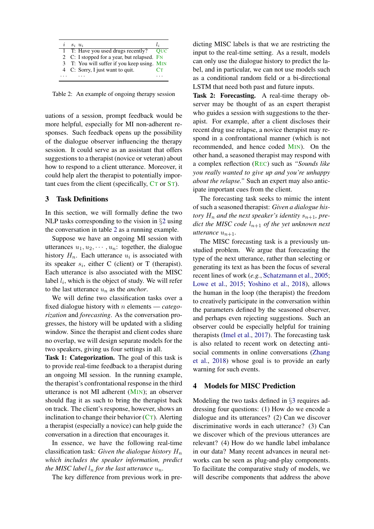<span id="page-2-0"></span>

| $S_i$ $u_i$ |                                             | $\iota$     |
|-------------|---------------------------------------------|-------------|
|             | 1 T: Have you used drugs recently?          | – Ouc       |
|             | 2 C: I stopped for a year, but relapsed. FN |             |
|             | 3 T: You will suffer if you keep using. MIN |             |
|             | 4 C: Sorry, I just want to quit.            | $C_{\rm T}$ |
|             |                                             |             |

Table 2: An example of ongoing therapy session

uations of a session, prompt feedback would be more helpful, especially for MI non-adherent responses. Such feedback opens up the possibility of the dialogue observer influencing the therapy session. It could serve as an assistant that offers suggestions to a therapist (novice or veteran) about how to respond to a client utterance. Moreover, it could help alert the therapist to potentially important cues from the client (specifically, CT or ST).

### <span id="page-2-1"></span>3 Task Definitions

In this section, we will formally define the two NLP tasks corresponding to the vision in §[2](#page-1-3) using the conversation in table [2](#page-2-0) as a running example.

Suppose we have an ongoing MI session with utterances  $u_1, u_2, \dots, u_n$ : together, the dialogue history  $H_n$ . Each utterance  $u_i$  is associated with its speaker  $s_i$ , either C (client) or T (therapist). Each utterance is also associated with the MISC label  $l_i$ , which is the object of study. We will refer to the last utterance  $u_n$  as the *anchor*.

We will define two classification tasks over a fixed dialogue history with n elements — *categorization* and *forecasting*. As the conversation progresses, the history will be updated with a sliding window. Since the therapist and client codes share no overlap, we will design separate models for the two speakers, giving us four settings in all.

Task 1: Categorization. The goal of this task is to provide real-time feedback to a therapist during an ongoing MI session. In the running example, the therapist's confrontational response in the third utterance is not MI adherent (MIN); an observer should flag it as such to bring the therapist back on track. The client's response, however, shows an inclination to change their behavior  $(CT)$ . Alerting a therapist (especially a novice) can help guide the conversation in a direction that encourages it.

In essence, we have the following real-time classification task: *Given the dialogue history*  $H_n$ *which includes the speaker information, predict the MISC label*  $l_n$  *for the last utterance*  $u_n$ *.* 

The key difference from previous work in pre-

dicting MISC labels is that we are restricting the input to the real-time setting. As a result, models can only use the dialogue history to predict the label, and in particular, we can not use models such as a conditional random field or a bi-directional LSTM that need both past and future inputs.

Task 2: Forecasting. A real-time therapy observer may be thought of as an expert therapist who guides a session with suggestions to the therapist. For example, after a client discloses their recent drug use relapse, a novice therapist may respond in a confrontational manner (which is not recommended, and hence coded MIN). On the other hand, a seasoned therapist may respond with a complex reflection (REC) such as *"Sounds like you really wanted to give up and you're unhappy about the relapse."* Such an expert may also anticipate important cues from the client.

The forecasting task seeks to mimic the intent of such a seasoned therapist: *Given a dialogue history*  $H_n$  *and the next speaker's identity*  $s_{n+1}$ *, predict the MISC code*  $l_{n+1}$  *of the yet unknown next utterance*  $u_{n+1}$ *.* 

The MISC forecasting task is a previously unstudied problem. We argue that forecasting the type of the next utterance, rather than selecting or generating its text as has been the focus of several recent lines of work (*e.g.*, [Schatzmann et al.,](#page-10-6) [2005;](#page-10-6) [Lowe et al.,](#page-9-9) [2015;](#page-9-9) [Yoshino et al.,](#page-10-7) [2018\)](#page-10-7), allows the human in the loop (the therapist) the freedom to creatively participate in the conversation within the parameters defined by the seasoned observer, and perhaps even rejecting suggestions. Such an observer could be especially helpful for training therapists [\(Imel et al.,](#page-9-10) [2017\)](#page-9-10). The forecasting task is also related to recent work on detecting antisocial comments in online conversations [\(Zhang](#page-10-8) [et al.,](#page-10-8) [2018\)](#page-10-8) whose goal is to provide an early warning for such events.

### 4 Models for MISC Prediction

Modeling the two tasks defined in §[3](#page-2-1) requires addressing four questions: (1) How do we encode a dialogue and its utterances? (2) Can we discover discriminative words in each utterance? (3) Can we discover which of the previous utterances are relevant? (4) How do we handle label imbalance in our data? Many recent advances in neural networks can be seen as plug-and-play components. To facilitate the comparative study of models, we will describe components that address the above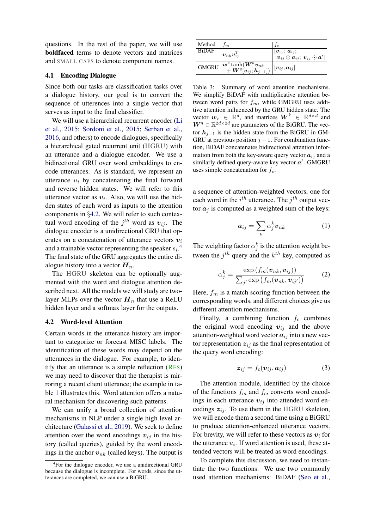questions. In the rest of the paper, we will use boldfaced terms to denote vectors and matrices and SMALL CAPS to denote component names.

#### 4.1 Encoding Dialogue

Since both our tasks are classification tasks over a dialogue history, our goal is to convert the sequence of utterences into a single vector that serves as input to the final classifier.

We will use a hierarchical recurrent encoder [\(Li](#page-9-11) [et al.,](#page-9-11) [2015;](#page-9-11) [Sordoni et al.,](#page-10-9) [2015;](#page-10-9) [Serban et al.,](#page-10-10) [2016,](#page-10-10) and others) to encode dialogues, specifically a hierarchical gated recurrent unit (HGRU) with an utterance and a dialogue encoder. We use a bidirectional GRU over word embeddings to encode utterances. As is standard, we represent an utterance  $u_i$  by concatenating the final forward and reverse hidden states. We will refer to this utterance vector as  $v_i$ . Also, we will use the hidden states of each word as inputs to the attention components in §[4.2.](#page-3-0) We will refer to such contextual word encoding of the  $j^{th}$  word as  $v_{ij}$ . The dialogue encoder is a unidirectional GRU that operates on a concatenation of utterance vectors  $v_i$ and a trainable vector representing the speaker  $s_i$ <sup>[4](#page-3-1)</sup> The final state of the GRU aggregates the entire dialogue history into a vector  $H_n$ .

The HGRU skeleton can be optionally augmented with the word and dialogue attention described next. All the models we will study are twolayer MLPs over the vector  $H_n$  that use a ReLU hidden layer and a softmax layer for the outputs.

#### <span id="page-3-0"></span>4.2 Word-level Attention

Certain words in the utterance history are important to categorize or forecast MISC labels. The identification of these words may depend on the utterances in the dialogue. For example, to identify that an utterance is a simple reflection (RES) we may need to discover that the therapist is mirroring a recent client utterance; the example in table [1](#page-1-0) illustrates this. Word attention offers a natural mechanism for discovering such patterns.

We can unify a broad collection of attention mechanisms in NLP under a single high level architecture [\(Galassi et al.,](#page-9-12) [2019\)](#page-9-12). We seek to define attention over the word encodings  $v_{ij}$  in the history (called queries), guided by the word encodings in the anchor  $v_{nk}$  (called keys). The output is

<span id="page-3-2"></span>

| Method       | Iт                                                                                                                                       |                                                                                                                                 |
|--------------|------------------------------------------------------------------------------------------------------------------------------------------|---------------------------------------------------------------------------------------------------------------------------------|
| <b>BiDAF</b> |                                                                                                                                          |                                                                                                                                 |
|              | $\boldsymbol{v}_{nk}\boldsymbol{v}_{ij}^T$                                                                                               | $\frac{[{\bm{v}}_{ij};\,\overline{{\bm{a}}_{ij}};}{[{\bm{v}}_{ij}\odot{\bm{a}}_{ij};\,\overline{{\bm{v}}}_{ij}\odot{\bm{a}}']}$ |
| <b>GMGRU</b> | $\frac{\bm{w}^e \tanh(\bm{W}^k \bm{v}_{nk}}{+ \bm{W}^q[\bm{v}_{ij};\bm{h}_{j-1}])\left  \left[ \bm{v}_{ij}; \bm{a}_{ij} \right]\right.}$ |                                                                                                                                 |
|              |                                                                                                                                          |                                                                                                                                 |

Table 3: Summary of word attention mechanisms. We simplify BiDAF with multiplicative attention between word pairs for  $f_m$ , while GMGRU uses additive attention influenced by the GRU hidden state. The vector  $w_e \in \mathbb{R}^d$ , and matrices  $W^k \in \mathbb{R}^{d \times d}$  and  $W^{q} \in \mathbb{R}^{2d \times 2d}$  are parameters of the BiGRU. The vector  $h_{i-1}$  is the hidden state from the BiGRU in GM-GRU at previous position  $j - 1$ . For combination function, BiDAF concatenates bidirectional attention information from both the key-aware query vector  $a_{ij}$  and a similarly defined query-aware key vector  $a'$ . GMGRU uses simple concatenation for  $f_c$ .

a sequence of attention-weighted vectors, one for each word in the  $i^{th}$  utterance. The  $j^{th}$  output vector  $a_i$  is computed as a weighted sum of the keys:

$$
a_{ij} = \sum_{k} \alpha_j^k v_{nk} \tag{1}
$$

The weighting factor  $\alpha_j^k$  is the attention weight between the  $j^{th}$  query and the  $k^{th}$  key, computed as

$$
\alpha_j^k = \frac{\exp\left(f_m(\boldsymbol{v}_{nk}, \boldsymbol{v}_{ij})\right)}{\sum_{j'} \exp\left(f_m(\boldsymbol{v}_{nk}, \boldsymbol{v}_{ij'})\right)}
$$
(2)

Here,  $f_m$  is a match scoring function between the corresponding words, and different choices give us different attention mechanisms.

Finally, a combining function  $f_c$  combines the original word encoding  $v_{ij}$  and the above attention-weighted word vector  $a_{ij}$  into a new vector representation  $z_{ij}$  as the final representation of the query word encoding:

$$
\boldsymbol{z}_{ij} = f_c(\boldsymbol{v}_{ij}, \boldsymbol{a}_{ij}) \tag{3}
$$

The attention module, identified by the choice of the functions  $f_m$  and  $f_c$ , converts word encodings in each utterance  $v_{ij}$  into attended word encodings  $z_{ij}$ . To use them in the HGRU skeleton, we will encode them a second time using a BiGRU to produce attention-enhanced utterance vectors. For brevity, we will refer to these vectors as  $v_i$  for the utterance  $u_i$ . If word attention is used, these attended vectors will be treated as word encodings.

To complete this discussion, we need to instantiate the two functions. We use two commonly used attention mechanisms: BiDAF [\(Seo et al.,](#page-10-11)

<span id="page-3-1"></span><sup>4</sup> For the dialogue encoder, we use a unidirectional GRU because the dialogue is incomplete. For words, since the utterances are completed, we can use a BiGRU.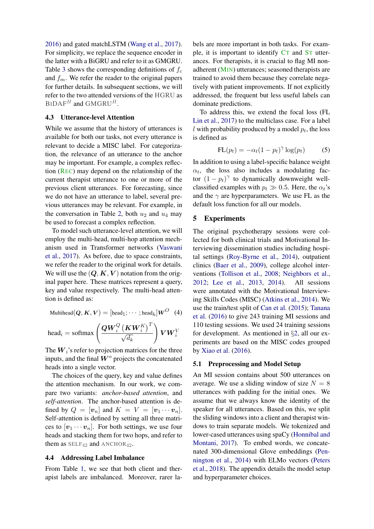[2016\)](#page-10-11) and gated matchLSTM [\(Wang et al.,](#page-10-12) [2017\)](#page-10-12). For simplicity, we replace the sequence encoder in the latter with a BiGRU and refer to it as GMGRU. Table [3](#page-3-2) shows the corresponding definitions of  $f_c$ and  $f_m$ . We refer the reader to the original papers for further details. In subsequent sections, we will refer to the two attended versions of the HGRU as  $BIDAF<sup>H</sup>$  and  $GMGRU<sup>H</sup>$ .

#### 4.3 Utterance-level Attention

While we assume that the history of utterances is available for both our tasks, not every utterance is relevant to decide a MISC label. For categorization, the relevance of an utterance to the anchor may be important. For example, a complex reflection (REC) may depend on the relationship of the current therapist utterance to one or more of the previous client utterances. For forecasting, since we do not have an utterance to label, several previous utterances may be relevant. For example, in the conversation in Table [2,](#page-2-0) both  $u_2$  and  $u_4$  may be used to forecast a complex reflection.

To model such utterance-level attention, we will employ the multi-head, multi-hop attention mechanism used in Transformer networks [\(Vaswani](#page-10-13) [et al.,](#page-10-13) [2017\)](#page-10-13). As before, due to space constraints, we refer the reader to the original work for details. We will use the  $(Q, K, V)$  notation from the original paper here. These matrices represent a query, key and value respectively. The multi-head attention is defined as:

$$
\text{Multihead}(Q, K, V) = [\text{head}_1; \cdots; \text{head}_h] W^O \quad (4)
$$
\n
$$
\text{head}_i = \text{softmax}\left(\frac{Q W_i^Q \left(K W_i^K\right)^T}{\sqrt{d_k}}\right) V W_i^V
$$

The  $W_i$ 's refer to projection matrices for the three inputs, and the final  $W<sup>o</sup>$  projects the concatenated heads into a single vector.

The choices of the query, key and value defines the attention mechanism. In our work, we compare two variants: *anchor-based attention*, and *self-attention*. The anchor-based attention is defined by  $Q = [\mathbf{v}_n]$  and  $K = V = [\mathbf{v}_1 \cdots \mathbf{v}_n]$ . Self-attention is defined by setting all three matrices to  $[v_1 \cdots v_n]$ . For both settings, we use four heads and stacking them for two hops, and refer to them as  $SELF_{42}$  and  $ANCHOR_{42}$ .

#### 4.4 Addressing Label Imbalance

From Table [1,](#page-1-0) we see that both client and therapist labels are imbalanced. Moreover, rarer labels are more important in both tasks. For example, it is important to identify CT and ST utterances. For therapists, it is crucial to flag MI nonadherent (MIN) utterances; seasoned therapists are trained to avoid them because they correlate negatively with patient improvements. If not explicitly addressed, the frequent but less useful labels can dominate predictions.

To address this, we extend the focal loss (FL [Lin et al.,](#page-9-13) [2017\)](#page-9-13) to the multiclass case. For a label  $l$  with probability produced by a model  $p_t$ , the loss is defined as

$$
FL(p_t) = -\alpha_t (1 - p_t)^\gamma \log(p_t)
$$
 (5)

In addition to using a label-specific balance weight  $\alpha_t$ , the loss also includes a modulating factor  $(1 - p_t)^\gamma$  to dynamically downweight wellclassified examples with  $p_t \gg 0.5$ . Here, the  $\alpha_t$ 's and the  $\gamma$  are hyperparameters. We use FL as the default loss function for all our models.

### 5 Experiments

The original psychotherapy sessions were collected for both clinical trials and Motivational Interviewing dissemination studies including hospital settings [\(Roy-Byrne et al.,](#page-10-14) [2014\)](#page-10-14), outpatient clinics [\(Baer et al.,](#page-9-14) [2009\)](#page-9-14), college alcohol interventions [\(Tollison et al.,](#page-10-15) [2008;](#page-10-15) [Neighbors et al.,](#page-9-15) [2012;](#page-9-15) [Lee et al.,](#page-9-16) [2013,](#page-9-16) [2014\)](#page-9-17). All sessions were annotated with the Motivational Interviewing Skills Codes (MISC) [\(Atkins et al.,](#page-8-0) [2014\)](#page-8-0). We use the train/test split of [Can et al.](#page-9-18) [\(2015\)](#page-9-18); [Tanana](#page-10-1) [et al.](#page-10-1) [\(2016\)](#page-10-1) to give 243 training MI sessions and 110 testing sessions. We used 24 training sessions for development. As mentioned in §[2,](#page-1-3) all our experiments are based on the MISC codes grouped by [Xiao et al.](#page-10-2) [\(2016\)](#page-10-2).

#### 5.1 Preprocessing and Model Setup

An MI session contains about 500 utterances on average. We use a sliding window of size  $N = 8$ utterances with padding for the initial ones. We assume that we always know the identity of the speaker for all utterances. Based on this, we split the sliding windows into a client and therapist windows to train separate models. We tokenized and lower-cased utterances using spaCy [\(Honnibal and](#page-9-19) [Montani,](#page-9-19) [2017\)](#page-9-19). To embed words, we concatenated 300-dimensional Glove embeddings [\(Pen](#page-10-16)[nington et al.,](#page-10-16) [2014\)](#page-10-16) with ELMo vectors [\(Peters](#page-10-17) [et al.,](#page-10-17) [2018\)](#page-10-17). The appendix details the model setup and hyperparameter choices.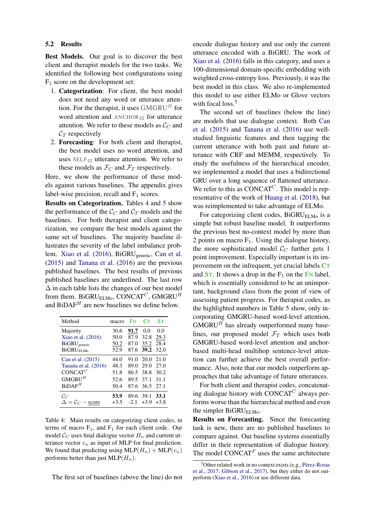### 5.2 Results

Best Models. Our goal is to discover the best client and therapist models for the two tasks. We identified the following best configurations using  $F_1$  score on the development set:

- 1. Categorization: For client, the best model does not need any word or utterance attention. For the therapist, it uses  $GMGRU<sup>H</sup>$  for word attention and ANCHOR<sub>42</sub> for utterance attention. We refer to these models as  $\mathcal{C}_C$  and  $C_T$  respectively
- 2. Forecasting: For both client and therapist, the best model uses no word attention, and uses  $SELF_{42}$  utterance attention. We refer to these models as  $\mathcal{F}_C$  and  $\mathcal{F}_T$  respectively.

Here, we show the performance of these models against various baselines. The appendix gives label-wise precision, recall and  $F_1$  scores.

Results on Categorization. Tables [4](#page-5-0) and [5](#page-6-0) show the performance of the  $\mathcal{C}_C$  and  $\mathcal{C}_T$  models and the baselines. For both therapist and client categorization, we compare the best models against the same set of baselines. The majority baseline illustrates the severity of the label imbalance prob-lem. [Xiao et al.](#page-10-2) [\(2016\)](#page-10-2), BiGRU<sub>generic</sub>, [Can et al.](#page-9-18) [\(2015\)](#page-9-18) and [Tanana et al.](#page-10-1) [\(2016\)](#page-10-1) are the previous published baselines. The best results of previous published baselines are underlined. The last row  $\Delta$  in each table lists the changes of our best model from them. BiGRU<sub>ELMo</sub>, CONCAT<sup>C</sup>, GMGRU<sup>H</sup> and  $BiDAF<sup>H</sup>$  are new baselines we define below.

<span id="page-5-0"></span>

| Method                   | macro  | F <sub>N</sub> | CT     | $S_{T}$ |
|--------------------------|--------|----------------|--------|---------|
| Majority                 | 30.6   | 91.7           | 0.0    | 0.0     |
| Xiao et al. (2016)       | 50.0   | 87.9           | 32.8   | 29.3    |
| BiGRU <sub>generic</sub> | 50.2   | 87.0           | 35.2   | 28.4    |
| BiGRU <sub>FI Mo</sub>   | 52.9   | 87.6           | 39.2   | 32.0    |
| Can et al. (2015)        | 44.0   | 91.0           | 20.0   | 21.0    |
| Tanana et al. (2016)     | 48.3   | 89.0           | 29.0   | 27.0    |
| CONCAT <sup>C</sup>      | 51.8   | 86.5           | 38.8   | 30.2    |
| GMGRU <sup>H</sup>       | 52.6   | 89.5           | 37.1   | 31.1    |
| BiDAF <sup>H</sup>       | 50.4   | 87.6           | 36.5   | 27.1    |
| $\mathcal{C}_C$          | 53.9   | 89.6           | 39.1   | 33.1    |
| $=$ $C_C$ – score        | $+3.5$ | $-2.1$         | $+3.9$ | $+3.8$  |

Table 4: Main results on categorizing client codes, in terms of macro  $F_1$ , and  $F_1$  for each client code. Our model  $\mathcal{C}_C$  uses final dialogue vector  $H_n$  and current utterance vector  $v_n$  as input of MLP for final prediction. We found that predicting using  $MLP(H_n) + MLP(v_n)$ performs better than just  $MLP(H_n)$ .

The first set of baselines (above the line) do not

encode dialogue history and use only the current utterance encoded with a BiGRU. The work of [Xiao et al.](#page-10-2) [\(2016\)](#page-10-2) falls in this category, and uses a 100-dimensional domain-specific embedding with weighted cross-entropy loss. Previously, it was the best model in this class. We also re-implemented this model to use either ELMo or Glove vectors with focal loss.<sup>[5](#page-5-1)</sup>

The second set of baselines (below the line) are models that use dialogue context. Both [Can](#page-9-18) [et al.](#page-9-18) [\(2015\)](#page-9-18) and [Tanana et al.](#page-10-1) [\(2016\)](#page-10-1) use wellstudied linguistic features and then tagging the current utterance with both past and future utterance with CRF and MEMM, respectively. To study the usefulness of the hierarchical encoder, we implemented a model that uses a bidirectional GRU over a long sequence of flattened utterance. We refer to this as  $CONCAT<sup>C</sup>$ . This model is representative of the work of [Huang et al.](#page-9-4) [\(2018\)](#page-9-4), but was reimplemented to take advantage of ELMo.

For categorizing client codes, BiGRU<sub>ELMo</sub> is a simple but robust baseline model. It outperforms the previous best no-context model by more than 2 points on macro  $F_1$ . Using the dialogue history, the more sophisticated model  $\mathcal{C}_C$  further gets 1 point improvement. Especially important is its improvement on the infrequent, yet crucial labels CT and  $ST$ . It shows a drop in the  $F_1$  on the FN label, which is essentially considered to be an unimportant, background class from the point of view of assessing patient progress. For therapist codes, as the highlighted numbers in Table [5](#page-6-0) show, only incorporating GMGRU-based word-level attention,  $GMGRU<sup>H</sup>$  has already outperformed many baselines, our proposed model  $\mathcal{F}_T$  which uses both GMGRU-based word-level attention and anchorbased multi-head multihop sentence-level attention can further achieve the best overall performance. Also, note that our models outperform approaches that take advantage of future utterances.

For both client and therapist codes, concatenating dialogue history with CONCAT $<sup>C</sup>$  always per-</sup> forms worse than the hierarchical method and even the simpler BiGRU<sub>ELMo</sub>.

Results on Forecasting. Since the forecasting task is new, there are no published baselines to compare against. Our baseline systems essentially differ in their representation of dialogue history. The model CONCAT $F$  uses the same architecture

<span id="page-5-1"></span> $5$ Other related work in no context exists (e.g., Pérez-Rosas [et al.,](#page-10-3) [2017;](#page-10-3) [Gibson et al.,](#page-9-20) [2017\)](#page-9-20), but they either do not outperform [\(Xiao et al.,](#page-10-2) [2016\)](#page-10-2) or use different data.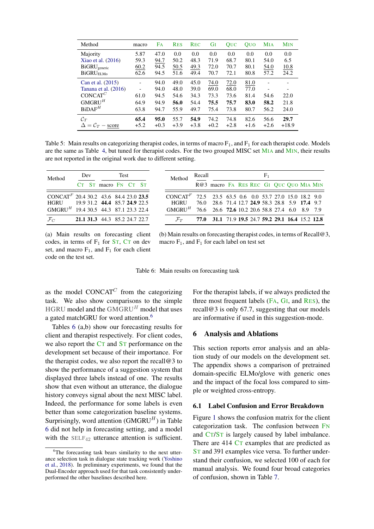<span id="page-6-0"></span>

| Method                   | macro  | Fa     | <b>RES</b> | <b>REC</b> | GI     | <b>OUC</b> | <b>OUO</b> | <b>MIA</b>               | <b>MIN</b>               |
|--------------------------|--------|--------|------------|------------|--------|------------|------------|--------------------------|--------------------------|
| Majority                 | 5.87   | 47.0   | 0.0        | 0.0        | 0.0    | 0.0        | 0.0        | 0.0                      | 0.0                      |
| Xiao et al. $(2016)$     | 59.3   | 94.7   | 50.2       | 48.3       | 71.9   | 68.7       | 80.1       | 54.0                     | 6.5                      |
| BiGRU <sub>generic</sub> | 60.2   | 94.5   | 50.5       | 49.3       | 72.0   | 70.7       | 80.1       | 54.0                     | 10.8                     |
| <b>BiGRUELMo</b>         | 62.6   | 94.5   | 51.6       | 49.4       | 70.7   | 72.1       | 80.8       | 57.2                     | 24.2                     |
| Can et al. (2015)        |        | 94.0   | 49.0       | 45.0       | 74.0   | 72.0       | 81.0       |                          |                          |
| Tanana et al. (2016)     |        | 94.0   | 48.0       | 39.0       | 69.0   | 68.0       | 77.0       | $\overline{\phantom{0}}$ | $\overline{\phantom{a}}$ |
| CONCAT <sup>C</sup>      | 61.0   | 94.5   | 54.6       | 34.3       | 73.3   | 73.6       | 81.4       | 54.6                     | 22.0                     |
| $\mathbf{GMGRU}^{H}$     | 64.9   | 94.9   | 56.0       | 54.4       | 75.5   | 75.7       | 83.0       | 58.2                     | 21.8                     |
| BiDAF <sup>H</sup>       | 63.8   | 94.7   | 55.9       | 49.7       | 75.4   | 73.8       | 80.7       | 56.2                     | 24.0                     |
| $\mathcal{C}_T$          | 65.4   | 95.0   | 55.7       | 54.9       | 74.2   | 74.8       | 82.6       | 56.6                     | 29.7                     |
| $\Delta = C_T$ – score   | $+5.2$ | $+0.3$ | $+3.9$     | $+3.8$     | $+0.2$ | $+2.8$     | $+1.6$     | $+2.6$                   | $+18.9$                  |

Table 5: Main results on categorizing therapist codes, in terms of macro  $F_1$ , and  $F_1$  for each therapist code. Models are the same as Table [4,](#page-5-0) but tuned for therapist codes. For the two grouped MISC set MIA and MIN, their results are not reported in the original work due to different setting.

<span id="page-6-2"></span>

| Method                                            | Dev |  | <b>Test</b>                   |  |  |  |  |
|---------------------------------------------------|-----|--|-------------------------------|--|--|--|--|
|                                                   |     |  | CT ST macro FN CT ST          |  |  |  |  |
| CONCAT <sup>F</sup> 20.4 30.2 43.6 84.4 23.0 23.5 |     |  |                               |  |  |  |  |
| HGRU 19.9 31.2 44.4 85.7 24.9 22.5                |     |  |                               |  |  |  |  |
| GMGRU <sup>H</sup> 19.4 30.5 44.3 87.1 23.3 22.4  |     |  |                               |  |  |  |  |
| $\mathcal{F}_{C}$                                 |     |  | 21.1 31.3 44.3 85.2 24.7 22.7 |  |  |  |  |

(a) Main results on forecasting client codes, in terms of  $F_1$  for  $ST$ ,  $CT$  on dev set, and macro  $F_1$ , and  $F_1$  for each client code on the test set.

| Method                                                         | Recall |                                                   |  | F1 |  |  |
|----------------------------------------------------------------|--------|---------------------------------------------------|--|----|--|--|
|                                                                |        | R@3 macro FA RES REC GI QUC QUO MIA MIN           |  |    |  |  |
| $CONCATF$ 72.5 23.5 63.5 0.6 0.0 53.7 27.0 15.0 18.2 9.0       |        |                                                   |  |    |  |  |
| HGRU 76.0 28.6 71.4 12.7 24.9 58.3 28.8 5.9 17.4 9.7           |        |                                                   |  |    |  |  |
| $GMGRUH$ 76.6 26.6 <b>72.6</b> 10.2 20.6 58.8 27.4 6.0 8.9 7.9 |        |                                                   |  |    |  |  |
| $\mathcal{F}_{T}$                                              |        | 77.0 31.1 71.9 19.5 24.7 59.2 29.1 16.4 15.2 12.8 |  |    |  |  |

(b) Main results on forecasting therapist codes, in terms of Recall@3, macro  $F_1$ , and  $F_1$  for each label on test set

| Table 6: Main results on forecasting task |  |  |  |  |  |  |  |
|-------------------------------------------|--|--|--|--|--|--|--|
|-------------------------------------------|--|--|--|--|--|--|--|

as the model  $CONCAT<sup>C</sup>$  from the categorizing task. We also show comparisons to the simple HGRU model and the  $GMGRU<sup>H</sup>$  model that uses a gated matchGRU for word attention.<sup>[6](#page-6-1)</sup>

Tables [6](#page-6-2) (a,b) show our forecasting results for client and therapist respectively. For client codes, we also report the CT and ST performance on the development set because of their importance. For the therapist codes, we also report the recall $@3$  to show the performance of a suggestion system that displayed three labels instead of one. The results show that even without an utterance, the dialogue history conveys signal about the next MISC label. Indeed, the performance for some labels is even better than some categorization baseline systems. Surprisingly, word attention  $(GMGRU<sup>H</sup>)$  in Table [6](#page-6-2) did not help in forecasting setting, and a model with the SELF<sub>42</sub> utterance attention is sufficient. For the therapist labels, if we always predicted the three most frequent labels (FA, GI, and RES), the recall@3 is only 67.7, suggesting that our models are informative if used in this suggestion-mode.

#### 6 Analysis and Ablations

This section reports error analysis and an ablation study of our models on the development set. The appendix shows a comparison of pretrained domain-specific ELMo/glove with generic ones and the impact of the focal loss compared to simple or weighted cross-entropy.

#### 6.1 Label Confusion and Error Breakdown

Figure [1](#page-7-0) shows the confusion matrix for the client categorization task. The confusion between FN and CT/ST is largely caused by label imbalance. There are 414 CT examples that are predicted as ST and 391 examples vice versa. To further understand their confusion, we selected 100 of each for manual analysis. We found four broad categories of confusion, shown in Table [7.](#page-7-1)

<span id="page-6-1"></span><sup>&</sup>lt;sup>6</sup>The forecasting task bears similarity to the next utterance selection task in dialogue state tracking work [\(Yoshino](#page-10-7) [et al.,](#page-10-7) [2018\)](#page-10-7). In preliminary experiments, we found that the Dual-Encoder approach used for that task consistently underperformed the other baselines described here.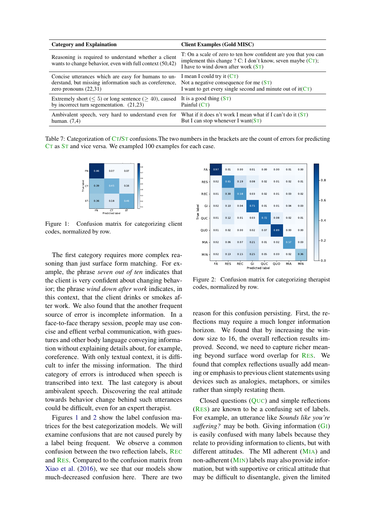<span id="page-7-1"></span>

| <b>Category and Explaination</b>                                                                                                                                                                             | <b>Client Examples (Gold MISC)</b>                                                                                                                                        |
|--------------------------------------------------------------------------------------------------------------------------------------------------------------------------------------------------------------|---------------------------------------------------------------------------------------------------------------------------------------------------------------------------|
| Reasoning is required to understand whether a client<br>wants to change behavior, even with full context (50,42)                                                                                             | T: On a scale of zero to ten how confident are you that you can<br>implement this change ? C: I don't know, seven maybe $(CT)$ ;<br>I have to wind down after work $(ST)$ |
| Concise utterances which are easy for humans to un- I mean I could try it $(CT)$<br>derstand, but missing information such as coreference, Not a negative consequence for me (ST)<br>zero pronouns $(22,31)$ | I want to get every single second and minute out of $it(CT)$                                                                                                              |
| Extremely short ( $\leq 5$ ) or long sentence ( $> 40$ ), caused It is a good thing (ST)<br>by incorrect turn segementation. $(21,23)$                                                                       | Painful $(CT)$                                                                                                                                                            |
| Ambivalent speech, very hard to understand even for<br>human. $(7,4)$                                                                                                                                        | What if it does n't work I mean what if I can't do it $(ST)$<br>But I can stop whenever I want $(ST)$                                                                     |

<span id="page-7-0"></span>Table 7: Categorization of CT/ST confusions. The two numbers in the brackets are the count of errors for predicting CT as ST and vice versa. We exampled 100 examples for each case.



Figure 1: Confusion matrix for categorizing client codes, normalized by row.

The first category requires more complex reasoning than just surface form matching. For example, the phrase *seven out of ten* indicates that the client is very confident about changing behavior; the phrase *wind down after work* indicates, in this context, that the client drinks or smokes after work. We also found that the another frequent source of error is incomplete information. In a face-to-face therapy session, people may use concise and effient verbal communication, with guestures and other body language conveying information without explaining details about, for example, coreference. With only textual context, it is difficult to infer the missing information. The third category of errors is introduced when speech is transcribed into text. The last category is about ambivalent speech. Discovering the real attitude towards behavior change behind such utterances could be difficult, even for an expert therapist.

Figures [1](#page-7-0) and [2](#page-7-2) show the label confusion matrices for the best categorization models. We will examine confusions that are not caused purely by a label being frequent. We observe a common confusion between the two reflection labels, REC and RES. Compared to the confusion matrix from [Xiao et al.](#page-10-2) [\(2016\)](#page-10-2), we see that our models show much-decreased confusion here. There are two

<span id="page-7-2"></span>

Figure 2: Confusion matrix for categorizing therapist codes, normalized by row.

reason for this confusion persisting. First, the reflections may require a much longer information horizon. We found that by increasing the window size to 16, the overall reflection results improved. Second, we need to capture richer meaning beyond surface word overlap for RES. We found that complex reflections usually add meaning or emphasis to previous client statements using devices such as analogies, metaphors, or similes rather than simply restating them.

Closed questions (QUC) and simple reflections (RES) are known to be a confusing set of labels. For example, an utterance like *Sounds like you're suffering?* may be both. Giving information (GI) is easily confused with many labels because they relate to providing information to clients, but with different attitudes. The MI adherent (MIA) and non-adherent (MIN) labels may also provide information, but with supportive or critical attitude that may be difficult to disentangle, given the limited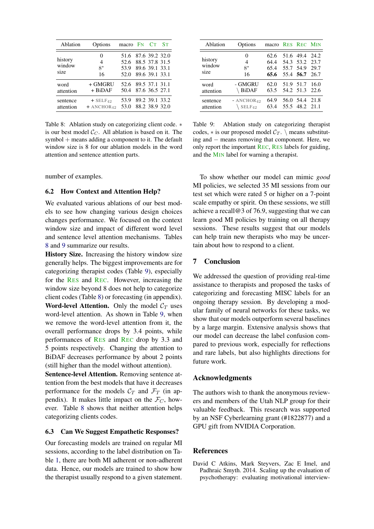<span id="page-8-1"></span>

| Ablation                  | Options                                            | macro FN CT                                                |                                  | Sт |
|---------------------------|----------------------------------------------------|------------------------------------------------------------|----------------------------------|----|
| history<br>window<br>size | $_{0}$<br>4<br>$8^*$<br>16                         | 51.6 87.6 39.2 32.0<br>52.6<br>53.9 89.6 39.1 33.1<br>52.0 | 88.5 37.8 31.5<br>89.6 39.1 33.1 |    |
| word<br>attention         | + GMGRU<br>$+$ BiDAF                               | 52.6 89.5 37.1 31.1<br>50.4                                | 87.6 36.5 27.1                   |    |
| sentence<br>attention     | $+$ SELF <sub>42</sub><br>$+$ ANCHOR <sub>42</sub> | 53.9<br>53.0                                               | 89.2 39.1 33.2<br>88.2 38.9 32.0 |    |

Table 8: Ablation study on categorizing client code. ∗ is our best model  $C_C$ . All ablation is based on it. The symbol + means adding a component to it. The default window size is 8 for our ablation models in the word attention and sentence attention parts.

number of examples.

### 6.2 How Context and Attention Help?

We evaluated various ablations of our best models to see how changing various design choices changes performance. We focused on the context window size and impact of different word level and sentence level attention mechanisms. Tables [8](#page-8-1) and [9](#page-8-2) summarize our results.

History Size. Increasing the history window size generally helps. The biggest improvements are for categorizing therapist codes (Table [9\)](#page-8-2), especially for the RES and REC. However, increasing the window size beyond 8 does not help to categorize client codes (Table [8\)](#page-8-1) or forecasting (in appendix). **Word-level Attention.** Only the model  $C_T$  uses word-level attention. As shown in Table [9,](#page-8-2) when we remove the word-level attention from it, the overall performance drops by 3.4 points, while performances of RES and REC drop by 3.3 and 5 points respectively. Changing the attention to BiDAF decreases performance by about 2 points (still higher than the model without attention).

Sentence-level Attention. Removing sentence attention from the best models that have it decreases performance for the models  $C_T$  and  $\mathcal{F}_T$  (in appendix). It makes little impact on the  $\mathcal{F}_C$ , however. Table [8](#page-8-1) shows that neither attention helps categorizing clients codes.

### 6.3 Can We Suggest Empathetic Responses?

Our forecasting models are trained on regular MI sessions, according to the label distribution on Table [1,](#page-1-0) there are both MI adherent or non-adherent data. Hence, our models are trained to show how the therapist usually respond to a given statement.

<span id="page-8-2"></span>

| Ablation                  | Options                                        | macro RES REC MIN            |                                                                      |  |
|---------------------------|------------------------------------------------|------------------------------|----------------------------------------------------------------------|--|
| history<br>window<br>size | 0<br>$\overline{4}$<br>$8*$<br>16              | 62.6<br>64.4<br>65.4<br>65.6 | 51.6 49.4 24.2<br>54.3 53.2 23.7<br>55.7 54.9 29.7<br>55.4 56.7 26.7 |  |
| word<br>attention         | - GMGRU<br>BiDAF                               | 62.0<br>63.5                 | 51.9 51.7 16.0<br>54.2 51.3 22.6                                     |  |
| sentence<br>attention     | $- ANCHOR42$<br>$\setminus$ SELF <sub>42</sub> | 64.9<br>63.4                 | 56.0 54.4 21.8<br>55.5 48.2 21.1                                     |  |

Table 9: Ablation study on categorizing therapist codes,  $*$  is our proposed model  $C_T$ . \ means substituting and − means removing that component. Here, we only report the important REC, RES labels for guiding, and the MIN label for warning a therapist.

To show whether our model can mimic *good* MI policies, we selected 35 MI sessions from our test set which were rated 5 or higher on a 7-point scale empathy or spirit. On these sessions, we still achieve a recall@3 of 76.9, suggesting that we can learn good MI policies by training on all therapy sessions. These results suggest that our models can help train new therapists who may be uncertain about how to respond to a client.

## 7 Conclusion

We addressed the question of providing real-time assistance to therapists and proposed the tasks of categorizing and forecasting MISC labels for an ongoing therapy session. By developing a modular family of neural networks for these tasks, we show that our models outperform several baselines by a large margin. Extensive analysis shows that our model can decrease the label confusion compared to previous work, especially for reflections and rare labels, but also highlights directions for future work.

### Acknowledgments

The authors wish to thank the anonymous reviewers and members of the Utah NLP group for their valuable feedback. This research was supported by an NSF Cyberlearning grant (#1822877) and a GPU gift from NVIDIA Corporation.

### References

<span id="page-8-0"></span>David C Atkins, Mark Steyvers, Zac E Imel, and Padhraic Smyth. 2014. Scaling up the evaluation of psychotherapy: evaluating motivational interview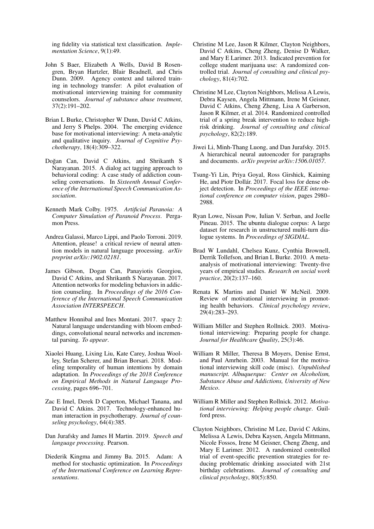ing fidelity via statistical text classification. *Implementation Science*, 9(1):49.

- <span id="page-9-14"></span>John S Baer, Elizabeth A Wells, David B Rosengren, Bryan Hartzler, Blair Beadnell, and Chris Dunn. 2009. Agency context and tailored training in technology transfer: A pilot evaluation of motivational interviewing training for community counselors. *Journal of substance abuse treatment*, 37(2):191–202.
- <span id="page-9-5"></span>Brian L Burke, Christopher W Dunn, David C Atkins, and Jerry S Phelps. 2004. The emerging evidence base for motivational interviewing: A meta-analytic and qualitative inquiry. *Journal of Cognitive Psychotherapy*, 18(4):309–322.
- <span id="page-9-18"></span>Doğan Can, David C Atkins, and Shrikanth S Narayanan. 2015. A dialog act tagging approach to behavioral coding: A case study of addiction counseling conversations. In *Sixteenth Annual Conference of the International Speech Communication Association*.
- <span id="page-9-0"></span>Kenneth Mark Colby. 1975. *Artificial Paranoia: A Computer Simulation of Paranoid Process*. Pergamon Press.
- <span id="page-9-12"></span>Andrea Galassi, Marco Lippi, and Paolo Torroni. 2019. Attention, please! a critical review of neural attention models in natural language processing. *arXiv preprint arXiv:1902.02181*.
- <span id="page-9-20"></span>James Gibson, Dogan Can, Panayiotis Georgiou, David C Atkins, and Shrikanth S Narayanan. 2017. Attention networks for modeling behaviors in addiction counseling. In *Proceedings of the 2016 Conference of the International Speech Communication Association INTERSPEECH*.
- <span id="page-9-19"></span>Matthew Honnibal and Ines Montani. 2017. spacy 2: Natural language understanding with bloom embeddings, convolutional neural networks and incremental parsing. *To appear*.
- <span id="page-9-4"></span>Xiaolei Huang, Lixing Liu, Kate Carey, Joshua Woolley, Stefan Scherer, and Brian Borsari. 2018. Modeling temporality of human intentions by domain adaptation. In *Proceedings of the 2018 Conference on Empirical Methods in Natural Language Processing*, pages 696–701.
- <span id="page-9-10"></span>Zac E Imel, Derek D Caperton, Michael Tanana, and David C Atkins. 2017. Technology-enhanced human interaction in psychotherapy. *Journal of counseling psychology*, 64(4):385.
- <span id="page-9-8"></span>Dan Jurafsky and James H Martin. 2019. *Speech and language processing*. Pearson.
- <span id="page-9-21"></span>Diederik Kingma and Jimmy Ba. 2015. Adam: A method for stochastic optimization. In *Proceedings of the International Conference on Learning Representations*.
- <span id="page-9-16"></span>Christine M Lee, Jason R Kilmer, Clayton Neighbors, David C Atkins, Cheng Zheng, Denise D Walker, and Mary E Larimer. 2013. Indicated prevention for college student marijuana use: A randomized controlled trial. *Journal of consulting and clinical psychology*, 81(4):702.
- <span id="page-9-17"></span>Christine M Lee, Clayton Neighbors, Melissa A Lewis, Debra Kaysen, Angela Mittmann, Irene M Geisner, David C Atkins, Cheng Zheng, Lisa A Garberson, Jason R Kilmer, et al. 2014. Randomized controlled trial of a spring break intervention to reduce highrisk drinking. *Journal of consulting and clinical psychology*, 82(2):189.
- <span id="page-9-11"></span>Jiwei Li, Minh-Thang Luong, and Dan Jurafsky. 2015. A hierarchical neural autoencoder for paragraphs and documents. *arXiv preprint arXiv:1506.01057*.
- <span id="page-9-13"></span>Tsung-Yi Lin, Priya Goyal, Ross Girshick, Kaiming He, and Piotr Dollár. 2017. Focal loss for dense object detection. In *Proceedings of the IEEE international conference on computer vision*, pages 2980– 2988.
- <span id="page-9-9"></span>Ryan Lowe, Nissan Pow, Iulian V. Serban, and Joelle Pineau. 2015. The ubuntu dialogue corpus: A large dataset for research in unstructured multi-turn dialogue systems. In *Proceedings of SIGDIAL*.
- <span id="page-9-7"></span>Brad W Lundahl, Chelsea Kunz, Cynthia Brownell, Derrik Tollefson, and Brian L Burke. 2010. A metaanalysis of motivational interviewing: Twenty-five years of empirical studies. *Research on social work practice*, 20(2):137–160.
- <span id="page-9-6"></span>Renata K Martins and Daniel W McNeil. 2009. Review of motivational interviewing in promoting health behaviors. *Clinical psychology review*, 29(4):283–293.
- <span id="page-9-1"></span>William Miller and Stephen Rollnick. 2003. Motivational interviewing: Preparing people for change. *Journal for Healthcare Quality*, 25(3):46.
- <span id="page-9-3"></span>William R Miller, Theresa B Moyers, Denise Ernst, and Paul Amrhein. 2003. Manual for the motivational interviewing skill code (misc). *Unpublished manuscript. Albuquerque: Center on Alcoholism, Substance Abuse and Addictions, University of New Mexico*.
- <span id="page-9-2"></span>William R Miller and Stephen Rollnick. 2012. *Motivational interviewing: Helping people change*. Guilford press.
- <span id="page-9-15"></span>Clayton Neighbors, Christine M Lee, David C Atkins, Melissa A Lewis, Debra Kaysen, Angela Mittmann, Nicole Fossos, Irene M Geisner, Cheng Zheng, and Mary E Larimer. 2012. A randomized controlled trial of event-specific prevention strategies for reducing problematic drinking associated with 21st birthday celebrations. *Journal of consulting and clinical psychology*, 80(5):850.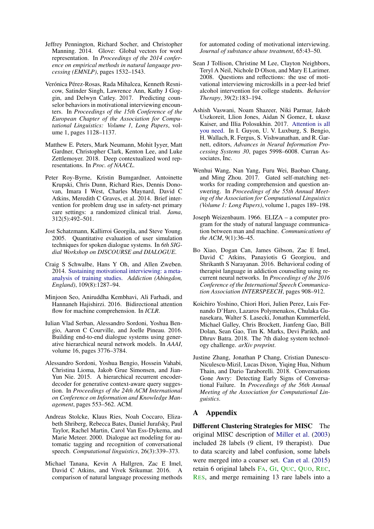- <span id="page-10-16"></span>Jeffrey Pennington, Richard Socher, and Christopher Manning. 2014. Glove: Global vectors for word representation. In *Proceedings of the 2014 conference on empirical methods in natural language processing (EMNLP)*, pages 1532–1543.
- <span id="page-10-3"></span>Verónica Pérez-Rosas, Rada Mihalcea, Kenneth Resnicow, Satinder Singh, Lawrence Ann, Kathy J Goggin, and Delwyn Catley. 2017. Predicting counselor behaviors in motivational interviewing encounters. In *Proceedings of the 15th Conference of the European Chapter of the Association for Computational Linguistics: Volume 1, Long Papers*, volume 1, pages 1128–1137.
- <span id="page-10-17"></span>Matthew E. Peters, Mark Neumann, Mohit Iyyer, Matt Gardner, Christopher Clark, Kenton Lee, and Luke Zettlemoyer. 2018. Deep contextualized word representations. In *Proc. of NAACL*.
- <span id="page-10-14"></span>Peter Roy-Byrne, Kristin Bumgardner, Antoinette Krupski, Chris Dunn, Richard Ries, Dennis Donovan, Imara I West, Charles Maynard, David C Atkins, Meredith C Graves, et al. 2014. Brief intervention for problem drug use in safety-net primary care settings: a randomized clinical trial. *Jama*, 312(5):492–501.
- <span id="page-10-6"></span>Jost Schatzmann, Kallirroi Georgila, and Steve Young. 2005. Quantitative evaluation of user simulation techniques for spoken dialogue systems. In *6th SIGdial Workshop on DISCOURSE and DIALOGUE*.
- <span id="page-10-4"></span>Craig S Schwalbe, Hans Y Oh, and Allen Zweben. 2014. [Sustaining motivational interviewing: a meta](https://doi.org/10.1111/add.12558)[analysis of training studies.](https://doi.org/10.1111/add.12558) *Addiction (Abingdon, England)*, 109(8):1287–94.
- <span id="page-10-11"></span>Minjoon Seo, Aniruddha Kembhavi, Ali Farhadi, and Hannaneh Hajishirzi. 2016. Bidirectional attention flow for machine comprehension. In *ICLR*.
- <span id="page-10-10"></span>Iulian Vlad Serban, Alessandro Sordoni, Yoshua Bengio, Aaron C Courville, and Joelle Pineau. 2016. Building end-to-end dialogue systems using generative hierarchical neural network models. In *AAAI*, volume 16, pages 3776–3784.
- <span id="page-10-9"></span>Alessandro Sordoni, Yoshua Bengio, Hossein Vahabi, Christina Lioma, Jakob Grue Simonsen, and Jian-Yun Nie. 2015. A hierarchical recurrent encoderdecoder for generative context-aware query suggestion. In *Proceedings of the 24th ACM International on Conference on Information and Knowledge Management*, pages 553–562. ACM.
- <span id="page-10-5"></span>Andreas Stolcke, Klaus Ries, Noah Coccaro, Elizabeth Shriberg, Rebecca Bates, Daniel Jurafsky, Paul Taylor, Rachel Martin, Carol Van Ess-Dykema, and Marie Meteer. 2000. Dialogue act modeling for automatic tagging and recognition of conversational speech. *Computational linguistics*, 26(3):339–373.
- <span id="page-10-1"></span>Michael Tanana, Kevin A Hallgren, Zac E Imel, David C Atkins, and Vivek Srikumar. 2016. A comparison of natural language processing methods

for automated coding of motivational interviewing. *Journal of substance abuse treatment*, 65:43–50.

- <span id="page-10-15"></span>Sean J Tollison, Christine M Lee, Clayton Neighbors, Teryl A Neil, Nichole D Olson, and Mary E Larimer. 2008. Questions and reflections: the use of motivational interviewing microskills in a peer-led brief alcohol intervention for college students. *Behavior Therapy*, 39(2):183–194.
- <span id="page-10-13"></span>Ashish Vaswani, Noam Shazeer, Niki Parmar, Jakob Uszkoreit, Llion Jones, Aidan N Gomez, Ł ukasz Kaiser, and Illia Polosukhin. 2017. [Attention is all](http://papers.nips.cc/paper/7181-attention-is-all-you-need.pdf) [you need.](http://papers.nips.cc/paper/7181-attention-is-all-you-need.pdf) In I. Guyon, U. V. Luxburg, S. Bengio, H. Wallach, R. Fergus, S. Vishwanathan, and R. Garnett, editors, *Advances in Neural Information Processing Systems 30*, pages 5998–6008. Curran Associates, Inc.
- <span id="page-10-12"></span>Wenhui Wang, Nan Yang, Furu Wei, Baobao Chang, and Ming Zhou. 2017. Gated self-matching networks for reading comprehension and question answering. In *Proceedings of the 55th Annual Meeting of the Association for Computational Linguistics (Volume 1: Long Papers)*, volume 1, pages 189–198.
- <span id="page-10-0"></span>Joseph Weizenbaum. 1966. ELIZA – a computer program for the study of natural language communication between man and machine. *Communications of the ACM*, 9(1):36–45.
- <span id="page-10-2"></span>Bo Xiao, Dogan Can, James Gibson, Zac E Imel, David C Atkins, Panayiotis G Georgiou, and Shrikanth S Narayanan. 2016. Behavioral coding of therapist language in addiction counseling using recurrent neural networks. In *Proceedings of the 2016 Conference of the International Speech Communication Association INTERSPEECH*, pages 908–912.
- <span id="page-10-7"></span>Koichiro Yoshino, Chiori Hori, Julien Perez, Luis Fernando D'Haro, Lazaros Polymenakos, Chulaka Gunasekara, Walter S. Lasecki, Jonathan Kummerfeld, Michael Galley, Chris Brockett, Jianfeng Gao, Bill Dolan, Sean Gao, Tim K. Marks, Devi Parikh, and Dhruv Batra. 2018. The 7th dialog system technology challenge. *arXiv preprint*.
- <span id="page-10-8"></span>Justine Zhang, Jonathan P Chang, Cristian Danescu-Niculescu-Mizil, Lucas Dixon, Yiqing Hua, Nithum Thain, and Dario Taraborelli. 2018. Conversations Gone Awry: Detecting Early Signs of Conversational Failure. In *Proceedings of the 56th Annual Meeting of the Association for Computational Linguistics*.

### A Appendix

Different Clustering Strategies for MISC The original MISC description of [Miller et al.](#page-9-3) [\(2003\)](#page-9-3) included 28 labels (9 client, 19 therapist). Due to data scarcity and label confusion, some labels were merged into a coarser set. [Can et al.](#page-9-18) [\(2015\)](#page-9-18) retain 6 original labels FA, GI, QUC, QUO, REC, RES, and merge remaining 13 rare labels into a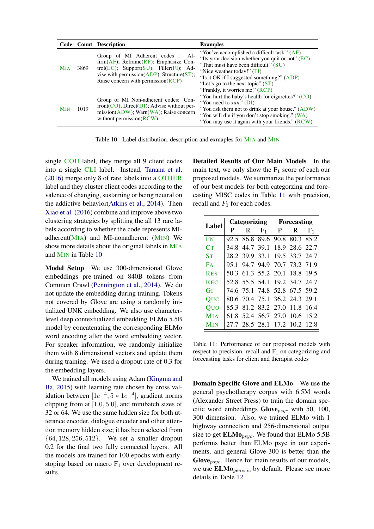<span id="page-11-0"></span>

|                       |      | Code Count Description                                                                                                                                                                                                                                            | <b>Examples</b>                                                                                                                                                                                                                                                                                   |
|-----------------------|------|-------------------------------------------------------------------------------------------------------------------------------------------------------------------------------------------------------------------------------------------------------------------|---------------------------------------------------------------------------------------------------------------------------------------------------------------------------------------------------------------------------------------------------------------------------------------------------|
| <b>MIA</b>            | 3869 | Group of MI Adherent codes : Af-<br>$firm(AF)$ ; Reframe(RF); Emphasize Con-<br>trol( $\overline{EC}$ ); Support( $\overline{SU}$ ); Filler( $\overline{FI}$ ); Ad-<br>vise with permission( $ADP$ ); Structure( $ST$ );<br>Raise concern with permission $(RCP)$ | "You've accomplished a difficult task." (AF)<br>"Its your decision whether you quit or not" $(EC)$<br>"That must have been difficult." (SU)<br>"Nice weather today!" (FI)<br>"Is it OK if I suggested something?" (ADP)<br>"Let's go to the next topic" $(ST)$<br>"Frankly, it worries me." (RCP) |
| <b>M<sub>IN</sub></b> | 1019 | Group of MI Non-adherent codes: Con-<br>front( $CO$ ); Direct( $DI$ ); Advise without per-<br>$mission(ADW)$ ; Warn $(WA)$ ; Raise concern<br>without permission $(RCW)$                                                                                          | "You hurt the baby's health for cigarettes?" $(CO)$<br>"You need to $xxx$ ." (DI)<br>"You ask them not to drink at your house." (ADW)<br>"You will die if you don't stop smoking." (WA)<br>"You may use it again with your friends." (RCW)                                                        |

Table 10: Label distribution, description and exmaples for MIA and MIN

single COU label, they merge all 9 client codes into a single CLI label. Instead, [Tanana et al.](#page-10-1) [\(2016\)](#page-10-1) merge only 8 of rare labels into a OTHER label and they cluster client codes according to the valence of changing, sustaining or being neutral on the addictive behavior[\(Atkins et al.,](#page-8-0) [2014\)](#page-8-0). Then [Xiao et al.](#page-10-2) [\(2016\)](#page-10-2) combine and improve above two clustering strategies by splitting the all 13 rare labels according to whether the code represents MIadherent $(MIA)$  and MI-nonadherent  $(MIN)$  We show more details about the original labels in MIA and MIN in Table [10](#page-11-0)

Model Setup We use 300-dimensional Glove embeddings pre-trained on 840B tokens from Common Crawl [\(Pennington et al.,](#page-10-16) [2014\)](#page-10-16). We do not update the embedding during training. Tokens not covered by Glove are using a randomly initialized UNK embedding. We also use characterlevel deep contextualized embedding ELMo 5.5B model by concatenating the corresponding ELMo word encoding after the word embedding vector. For speaker information, we randomly initialize them with 8 dimensional vectors and update them during training. We used a dropout rate of 0.3 for the embedding layers.

We trained all models using Adam [\(Kingma and](#page-9-21) [Ba,](#page-9-21) [2015\)](#page-9-21) with learning rate chosen by cross validation between  $[1e^{-4}, 5 * 1e^{-4}]$ , gradient norms clipping from at [1.0, 5.0], and minibatch sizes of 32 or 64. We use the same hidden size for both utterance encoder, dialogue encoder and other attention memory hidden size; it has been selected from {64, 128, 256, 512}. We set a smaller dropout 0.2 for the final two fully connected layers. All the models are trained for 100 epochs with earlystoping based on macro  $F_1$  over development results.

Detailed Results of Our Main Models In the main text, we only show the  $F_1$  score of each our proposed models. We summarize the performance of our best models for both categorzing and forecasting MISC codes in Table [11](#page-11-1) with precision, recall and  $F_1$  for each codes.

<span id="page-11-1"></span>

|                       |   | Categorizing   |           | Forecasting |                |           |  |  |  |
|-----------------------|---|----------------|-----------|-------------|----------------|-----------|--|--|--|
| Label                 |   |                |           |             |                |           |  |  |  |
|                       | P |                | $R$ $F_1$ | P.          | $R$ $F_1$      |           |  |  |  |
| FN                    |   | 92.5 86.8 89.6 |           |             | 90.8 80.3 85.2 |           |  |  |  |
| Cт                    |   | 34.8 44.7 39.1 |           |             | 18.9 28.6 22.7 |           |  |  |  |
| $S_{T}$               |   | 28.2 39.9 33.1 |           |             | 19.5 33.7 24.7 |           |  |  |  |
| FA                    |   | 95.1 94.7 94.9 |           |             | 70.7 73.2 71.9 |           |  |  |  |
| <b>RES</b>            |   | 50.3 61.3 55.2 |           |             | 20.1 18.8 19.5 |           |  |  |  |
| <b>REC</b>            |   | 52.8 55.5 54.1 |           |             | 19.2 34.7 24.7 |           |  |  |  |
| GI                    |   | 74.6 75.1 74.8 |           |             | 52.8 67.5 59.2 |           |  |  |  |
| QUC                   |   | 80.6 70.4 75.1 |           |             | 36.2 24.3 29.1 |           |  |  |  |
| Ouo                   |   | 85.3 81.2 83.2 |           |             | 27.0 11.8 16.4 |           |  |  |  |
| <b>M</b> IA           |   | 61.8 52.4 56.7 |           | 27.0        |                | 10.6 15.2 |  |  |  |
| <b>M<sub>IN</sub></b> |   | 27.7 28.5 28.1 |           |             | 17.2 10.2 12.8 |           |  |  |  |

Table 11: Performance of our proposed models with respect to precision, recall and  $F_1$  on categorizing and forecasting tasks for client and therapist codes

Domain Specific Glove and ELMo We use the general psychotherapy corpus with 6.5M words (Alexander Street Press) to train the domain specific word embeddings  $Glove_{psyc}$  with 50, 100, 300 dimension. Also, we trained ELMo with 1 highway connection and 256-dimensional output size to get  $\mathbf{ELMo}_{psyc}$ . We found that  $\mathbf{ELMo}\ 5.5\mathbf{B}$ performs better than ELMo psyc in our experiments, and general Glove-300 is better than the Glove<sub>psyc</sub>. Hence for main results of our models, we use  $ELMo_{generic}$  by default. Please see more details in Table [12](#page-12-0)